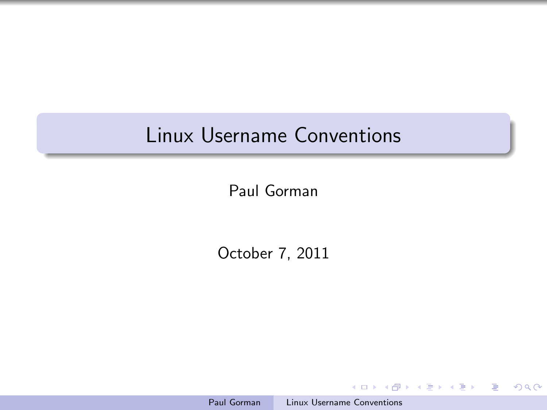## Linux Username Conventions

Paul Gorman

October 7, 2011

Paul Gorman [Linux Username Conventions](#page-17-0)

イロン イ団ン イミン イミン

 $\equiv$ 

<span id="page-0-0"></span> $QQ$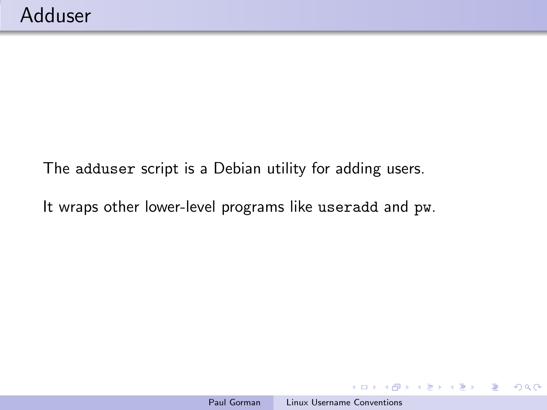The adduser script is a Debian utility for adding users.

It wraps other lower-level programs like useradd and pw.

 $QQ$ 

曲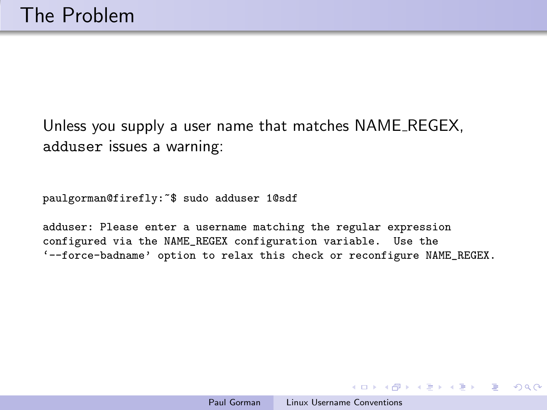Unless you supply a user name that matches NAME REGEX, adduser issues a warning:

paulgorman@firefly:~\$ sudo adduser 1@sdf

adduser: Please enter a username matching the regular expression configured via the NAME\_REGEX configuration variable. Use the '--force-badname' option to relax this check or reconfigure NAME\_REGEX.

 $QQ$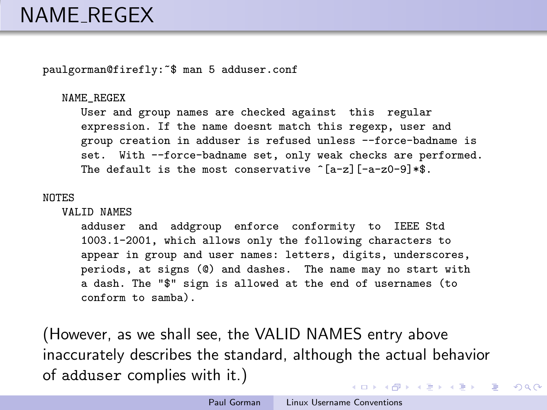# NAME REGEX

paulgorman@firefly:~\$ man 5 adduser.conf

### NAME\_REGEX

User and group names are checked against this regular expression. If the name doesnt match this regexp, user and group creation in adduser is refused unless --force-badname is set. With --force-badname set, only weak checks are performed. The default is the most conservative  $\hat{a}$ [-z][-a-z0-9]\*\$.

### NOTES

VALID NAMES

adduser and addgroup enforce conformity to IEEE Std 1003.1-2001, which allows only the following characters to appear in group and user names: letters, digits, underscores, periods, at signs (@) and dashes. The name may no start with a dash. The "\$" sign is allowed at the end of usernames (to conform to samba).

(However, as we shall see, the VALID NAMES entry above inaccurately describes the standard, although the actual behavior of adduser complies with it.) K ロ X K 日 X K 포 X X 포 X X B X X Q Q Q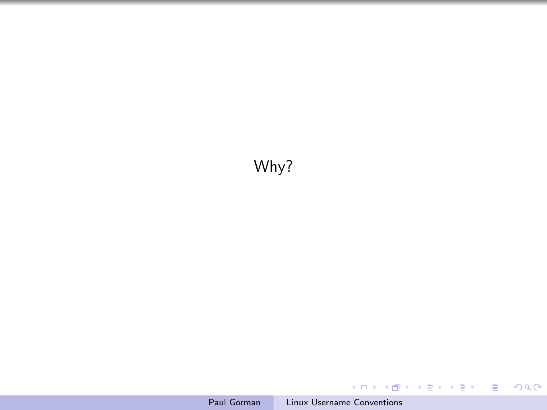Why?

イロト イ団 トイミト イミト ニミー つんぺ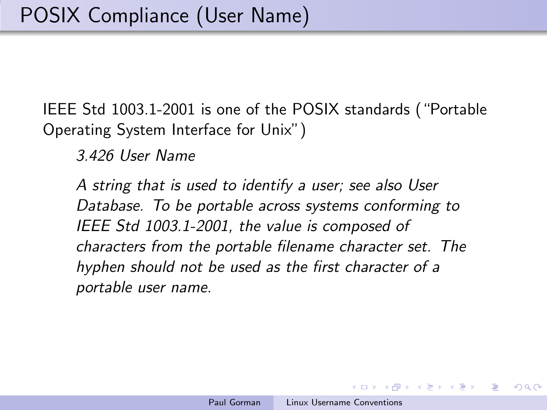IEEE Std 1003.1-2001 is one of the POSIX standards ("Portable Operating System Interface for Unix")

3.426 User Name

A string that is used to identify a user; see also User Database. To be portable across systems conforming to IEEE Std 1003.1-2001, the value is composed of characters from the portable filename character set. The hyphen should not be used as the first character of a portable user name.

**伊 ト イヨ ト イヨ ト**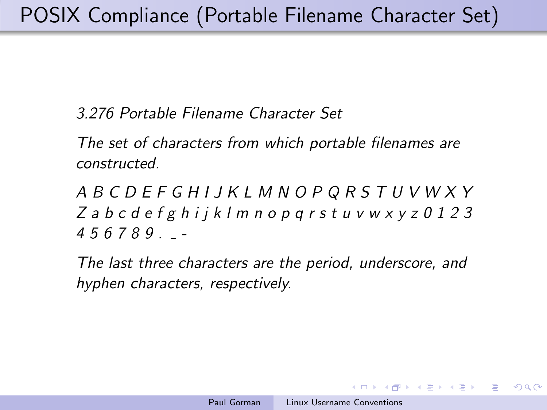3.276 Portable Filename Character Set

The set of characters from which portable filenames are constructed.

A B C D E F G H I J K L M N O P Q R S T U V W X Y Z a b c d e f g h i j k l m n o p q r s t u v w x y z 0 1 2 3  $456789...$ 

The last three characters are the period, underscore, and hyphen characters, respectively.

**伊 ト イヨ ト イヨ ト**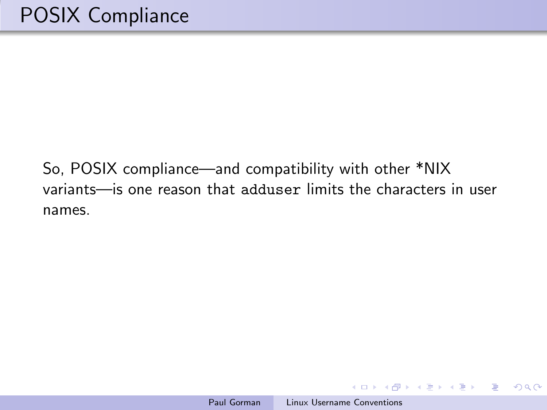So, POSIX compliance—and compatibility with other \*NIX variants—is one reason that adduser limits the characters in user names.

a mills

医间面医间面的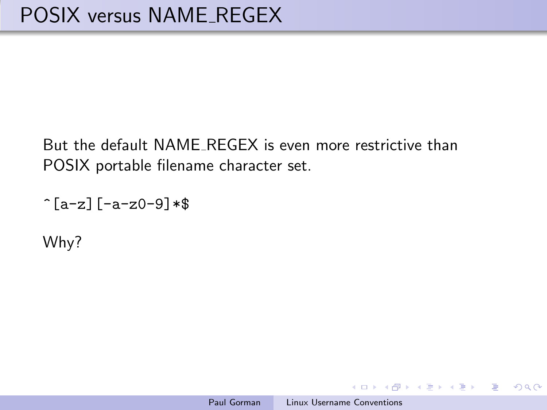But the default NAME REGEX is even more restrictive than POSIX portable filename character set.

 $\hat{[a-z]}\left[-a-z0-9\right]*\$$ 

Why?

a mille

押り メミメ メミメー

 $\equiv$ 

 $200$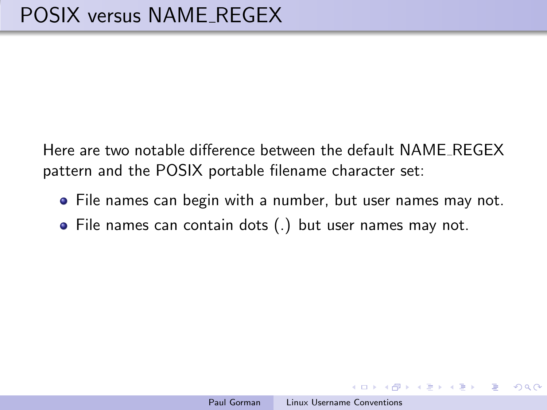Here are two notable difference between the default NAME REGEX pattern and the POSIX portable filename character set:

- File names can begin with a number, but user names may not.
- File names can contain dots (.) but user names may not.

**何 ト ィヨ ト ィヨ ト**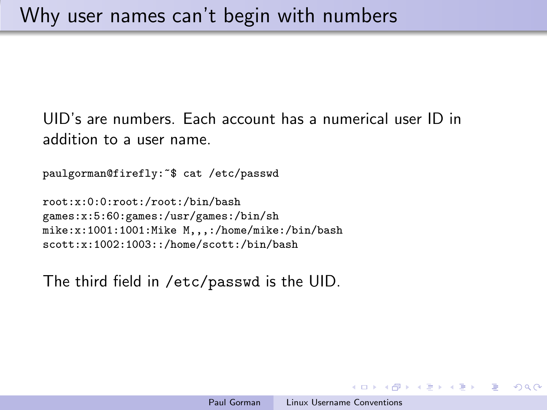UID's are numbers. Each account has a numerical user ID in addition to a user name.

paulgorman@firefly:~\$ cat /etc/passwd

root:x:0:0:root:/root:/bin/bash games:x:5:60:games:/usr/games:/bin/sh mike:x:1001:1001:Mike M,,,:/home/mike:/bin/bash scott:x:1002:1003::/home/scott:/bin/bash

The third field in /etc/passwd is the UID.

医尿管的尿管的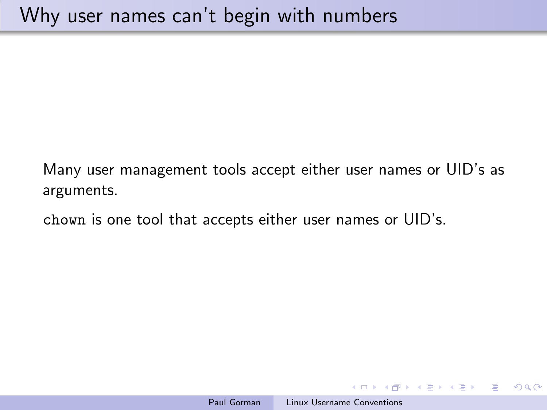Many user management tools accept either user names or UID's as arguments.

chown is one tool that accepts either user names or UID's.

メタト メミト メミト

 $2990$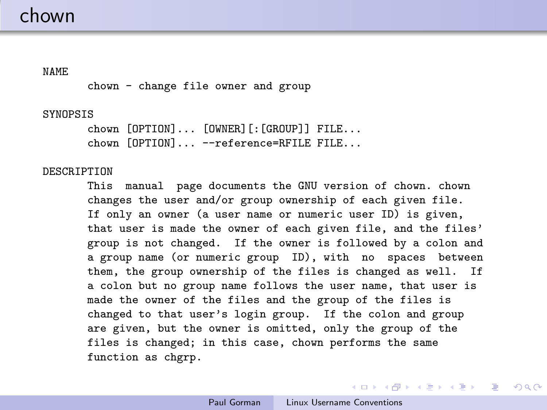### chown

NAME

chown - change file owner and group

### SYNOPSIS

chown [OPTION]... [OWNER][:[GROUP]] FILE... chown [OPTION]... --reference=RFILE FILE...

### DESCRIPTION

This manual page documents the GNU version of chown. chown changes the user and/or group ownership of each given file. If only an owner (a user name or numeric user ID) is given, that user is made the owner of each given file, and the files' group is not changed. If the owner is followed by a colon and a group name (or numeric group ID), with no spaces between them, the group ownership of the files is changed as well. If a colon but no group name follows the user name, that user is made the owner of the files and the group of the files is changed to that user's login group. If the colon and group are given, but the owner is omitted, only the group of the files is changed; in this case, chown performs the same function as chgrp.

**KORK ERKER ADAM DI SAGA**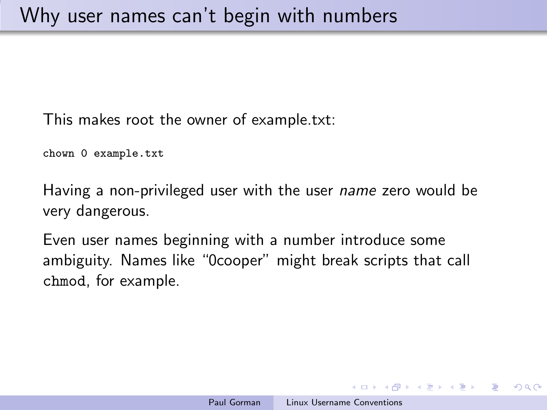This makes root the owner of example.txt:

chown 0 example.txt

Having a non-privileged user with the user name zero would be very dangerous.

Even user names beginning with a number introduce some ambiguity. Names like "0cooper" might break scripts that call chmod, for example.

押り メミメ メミメー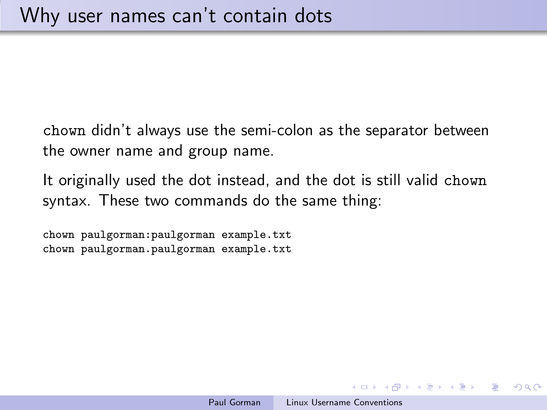chown didn't always use the semi-colon as the separator between the owner name and group name.

It originally used the dot instead, and the dot is still valid chown syntax. These two commands do the same thing:

chown paulgorman:paulgorman example.txt chown paulgorman.paulgorman example.txt

 $\left\{ \begin{array}{ccc} \square & \rightarrow & \left\{ \bigoplus \bullet & \leftarrow \Xi \right\} & \rightarrow & \left\{ \begin{array}{ccc} \Xi & \rightarrow & \leftarrow \end{array} \right. \end{array} \right.$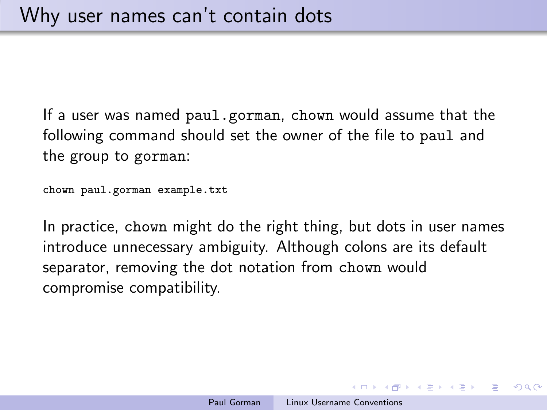If a user was named paul.gorman, chown would assume that the following command should set the owner of the file to paul and the group to gorman:

chown paul.gorman example.txt

In practice, chown might do the right thing, but dots in user names introduce unnecessary ambiguity. Although colons are its default separator, removing the dot notation from chown would compromise compatibility.

 $\mathcal{A} \oplus \mathcal{B} \rightarrow \mathcal{A} \oplus \mathcal{B} \rightarrow \mathcal{A} \oplus \mathcal{B}$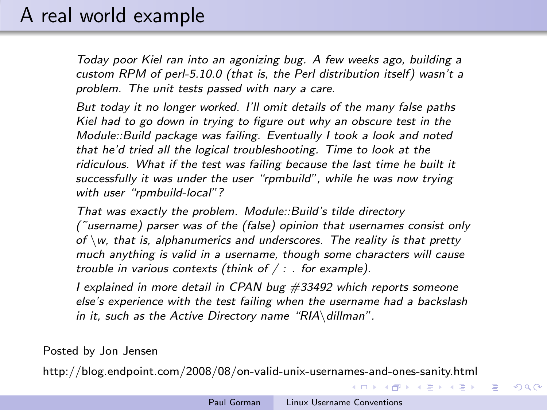# A real world example

Today poor Kiel ran into an agonizing bug. A few weeks ago, building a custom RPM of perl-5.10.0 (that is, the Perl distribution itself) wasn't a problem. The unit tests passed with nary a care.

But today it no longer worked. I'll omit details of the many false paths Kiel had to go down in trying to figure out why an obscure test in the Module::Build package was failing. Eventually I took a look and noted that he'd tried all the logical troubleshooting. Time to look at the ridiculous. What if the test was failing because the last time he built it successfully it was under the user "rpmbuild", while he was now trying with user "rpmbuild-local"?

That was exactly the problem. Module::Build's tilde directory (˜username) parser was of the (false) opinion that usernames consist only of  $\wedge w$ , that is, alphanumerics and underscores. The reality is that pretty much anything is valid in a username, though some characters will cause trouble in various contexts (think of  $/$  : . for example).

I explained in more detail in CPAN bug #33492 which reports someone else's experience with the test failing when the username had a backslash in it, such as the Active Directory name "RIA\dillman".

Posted by Jon Jensen

http://blog.endpoint.com/2008/08/on-valid-unix-usernames-and-ones-sanity.html

イロメ イ押メ イヨメ イヨメー